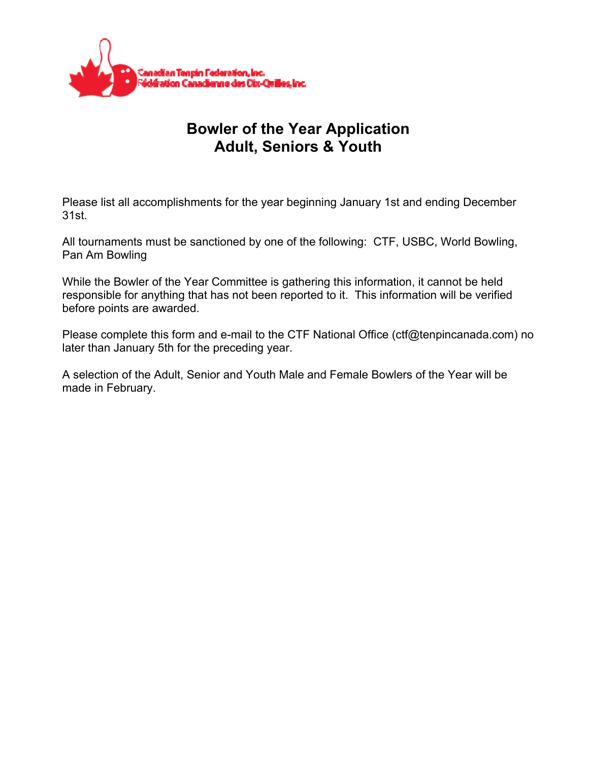

## **Bowler of the Year Application Adult, Seniors & Youth**

Please list all accomplishments for the year beginning January 1st and ending December 31st.

All tournaments must be sanctioned by one of the following: CTF, USBC, World Bowling, Pan Am Bowling

While the Bowler of the Year Committee is gathering this information, it cannot be held responsible for anything that has not been reported to it. This information will be verified before points are awarded.

Please complete this form and e-mail to the CTF National Office (ctf@tenpincanada.com) no later than January 5th for the preceding year.

A selection of the Adult, Senior and Youth Male and Female Bowlers of the Year will be made in February.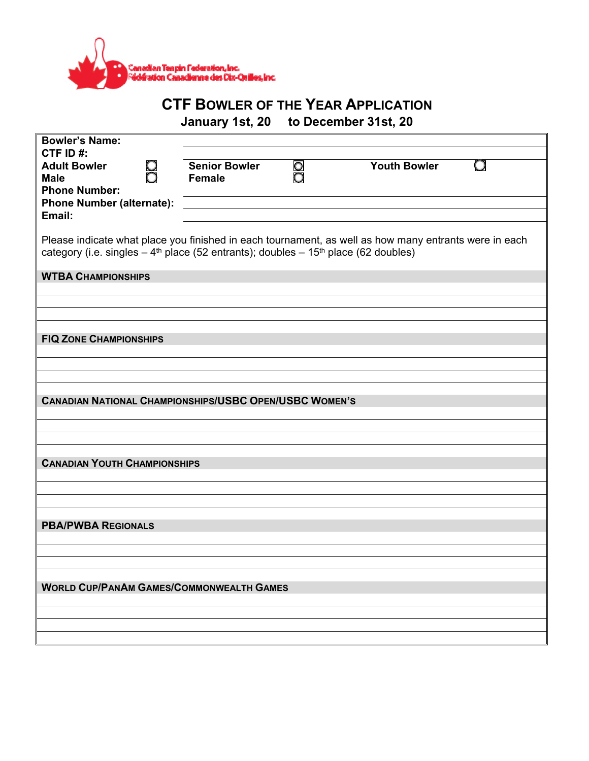

## **CTF BOWLER OF THE YEAR APPLICATION**

**January 1st, 20 to December 31st, 20** 

| <b>Bowler's Name:</b>                                                                                         |                                       |    |                     |  |  |
|---------------------------------------------------------------------------------------------------------------|---------------------------------------|----|---------------------|--|--|
| CTF ID#:                                                                                                      |                                       |    |                     |  |  |
| <b>Adult Bowler</b><br>8<br>0<br><b>Male</b>                                                                  | <b>Senior Bowler</b><br><b>Female</b> | 00 | <b>Youth Bowler</b> |  |  |
| <b>Phone Number:</b>                                                                                          |                                       |    |                     |  |  |
| <b>Phone Number (alternate):</b>                                                                              |                                       |    |                     |  |  |
| Email:                                                                                                        |                                       |    |                     |  |  |
|                                                                                                               |                                       |    |                     |  |  |
| Please indicate what place you finished in each tournament, as well as how many entrants were in each         |                                       |    |                     |  |  |
| category (i.e. singles $-4$ <sup>th</sup> place (52 entrants); doubles $-15$ <sup>th</sup> place (62 doubles) |                                       |    |                     |  |  |
| <b>WTBA CHAMPIONSHIPS</b>                                                                                     |                                       |    |                     |  |  |
|                                                                                                               |                                       |    |                     |  |  |
|                                                                                                               |                                       |    |                     |  |  |
|                                                                                                               |                                       |    |                     |  |  |
| <b>FIQ ZONE CHAMPIONSHIPS</b>                                                                                 |                                       |    |                     |  |  |
|                                                                                                               |                                       |    |                     |  |  |
|                                                                                                               |                                       |    |                     |  |  |
|                                                                                                               |                                       |    |                     |  |  |
|                                                                                                               |                                       |    |                     |  |  |
| <b>CANADIAN NATIONAL CHAMPIONSHIPS/USBC OPEN/USBC WOMEN'S</b>                                                 |                                       |    |                     |  |  |
|                                                                                                               |                                       |    |                     |  |  |
|                                                                                                               |                                       |    |                     |  |  |
|                                                                                                               |                                       |    |                     |  |  |
| <b>CANADIAN YOUTH CHAMPIONSHIPS</b>                                                                           |                                       |    |                     |  |  |
|                                                                                                               |                                       |    |                     |  |  |
|                                                                                                               |                                       |    |                     |  |  |
|                                                                                                               |                                       |    |                     |  |  |
| <b>PBA/PWBA REGIONALS</b>                                                                                     |                                       |    |                     |  |  |
|                                                                                                               |                                       |    |                     |  |  |
|                                                                                                               |                                       |    |                     |  |  |
|                                                                                                               |                                       |    |                     |  |  |
|                                                                                                               |                                       |    |                     |  |  |
| <b>WORLD CUP/PANAM GAMES/COMMONWEALTH GAMES</b>                                                               |                                       |    |                     |  |  |
|                                                                                                               |                                       |    |                     |  |  |
|                                                                                                               |                                       |    |                     |  |  |
|                                                                                                               |                                       |    |                     |  |  |
|                                                                                                               |                                       |    |                     |  |  |